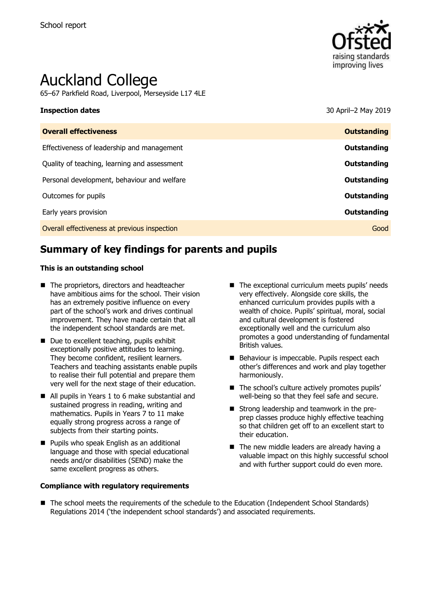

# Auckland College

65–67 Parkfield Road, Liverpool, Merseyside L17 4LE

**Inspection dates** 30 April–2 May 2019

| <b>Overall effectiveness</b>                 | <b>Outstanding</b> |
|----------------------------------------------|--------------------|
| Effectiveness of leadership and management   | Outstanding        |
| Quality of teaching, learning and assessment | Outstanding        |
| Personal development, behaviour and welfare  | Outstanding        |
| Outcomes for pupils                          | Outstanding        |
| Early years provision                        | Outstanding        |
| Overall effectiveness at previous inspection | Good               |
|                                              |                    |

# **Summary of key findings for parents and pupils**

#### **This is an outstanding school**

- The proprietors, directors and headteacher have ambitious aims for the school. Their vision has an extremely positive influence on every part of the school's work and drives continual improvement. They have made certain that all the independent school standards are met.
- Due to excellent teaching, pupils exhibit exceptionally positive attitudes to learning. They become confident, resilient learners. Teachers and teaching assistants enable pupils to realise their full potential and prepare them very well for the next stage of their education.
- All pupils in Years 1 to 6 make substantial and sustained progress in reading, writing and mathematics. Pupils in Years 7 to 11 make equally strong progress across a range of subjects from their starting points.
- **Pupils who speak English as an additional** language and those with special educational needs and/or disabilities (SEND) make the same excellent progress as others.

#### **Compliance with regulatory requirements**

- The exceptional curriculum meets pupils' needs very effectively. Alongside core skills, the enhanced curriculum provides pupils with a wealth of choice. Pupils' spiritual, moral, social and cultural development is fostered exceptionally well and the curriculum also promotes a good understanding of fundamental British values.
- Behaviour is impeccable. Pupils respect each other's differences and work and play together harmoniously.
- $\blacksquare$  The school's culture actively promotes pupils' well-being so that they feel safe and secure.
- **Strong leadership and teamwork in the pre**prep classes produce highly effective teaching so that children get off to an excellent start to their education.
- $\blacksquare$  The new middle leaders are already having a valuable impact on this highly successful school and with further support could do even more.
- The school meets the requirements of the schedule to the Education (Independent School Standards) Regulations 2014 ('the independent school standards') and associated requirements.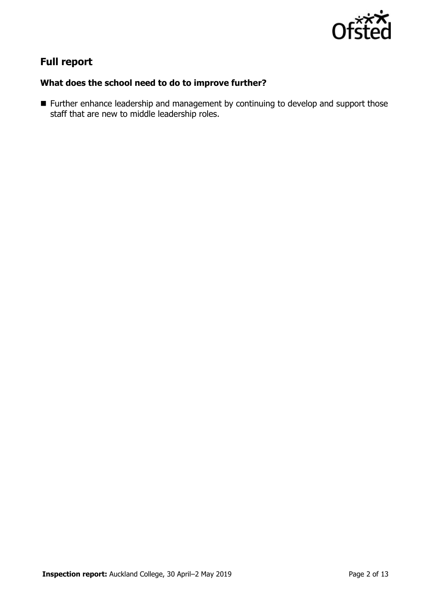

# **Full report**

### **What does the school need to do to improve further?**

■ Further enhance leadership and management by continuing to develop and support those staff that are new to middle leadership roles.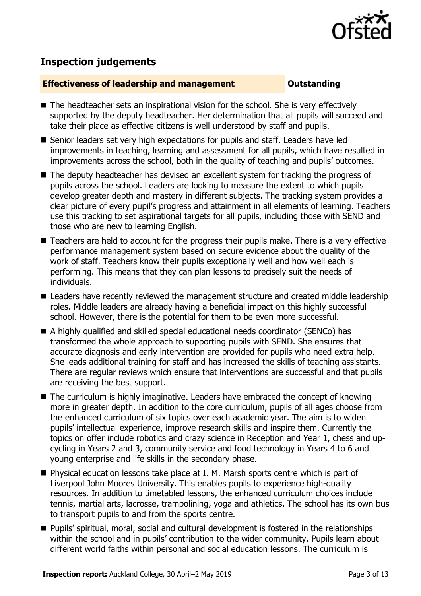

# **Inspection judgements**

#### **Effectiveness of leadership and management Cultum Outstanding**

- The headteacher sets an inspirational vision for the school. She is very effectively supported by the deputy headteacher. Her determination that all pupils will succeed and take their place as effective citizens is well understood by staff and pupils.
- Senior leaders set very high expectations for pupils and staff. Leaders have led improvements in teaching, learning and assessment for all pupils, which have resulted in improvements across the school, both in the quality of teaching and pupils' outcomes.
- The deputy headteacher has devised an excellent system for tracking the progress of pupils across the school. Leaders are looking to measure the extent to which pupils develop greater depth and mastery in different subjects. The tracking system provides a clear picture of every pupil's progress and attainment in all elements of learning. Teachers use this tracking to set aspirational targets for all pupils, including those with SEND and those who are new to learning English.
- Teachers are held to account for the progress their pupils make. There is a very effective performance management system based on secure evidence about the quality of the work of staff. Teachers know their pupils exceptionally well and how well each is performing. This means that they can plan lessons to precisely suit the needs of individuals.
- **E** Leaders have recently reviewed the management structure and created middle leadership roles. Middle leaders are already having a beneficial impact on this highly successful school. However, there is the potential for them to be even more successful.
- A highly qualified and skilled special educational needs coordinator (SENCo) has transformed the whole approach to supporting pupils with SEND. She ensures that accurate diagnosis and early intervention are provided for pupils who need extra help. She leads additional training for staff and has increased the skills of teaching assistants. There are regular reviews which ensure that interventions are successful and that pupils are receiving the best support.
- The curriculum is highly imaginative. Leaders have embraced the concept of knowing more in greater depth. In addition to the core curriculum, pupils of all ages choose from the enhanced curriculum of six topics over each academic year. The aim is to widen pupils' intellectual experience, improve research skills and inspire them. Currently the topics on offer include robotics and crazy science in Reception and Year 1, chess and upcycling in Years 2 and 3, community service and food technology in Years 4 to 6 and young enterprise and life skills in the secondary phase.
- Physical education lessons take place at I. M. Marsh sports centre which is part of Liverpool John Moores University. This enables pupils to experience high-quality resources. In addition to timetabled lessons, the enhanced curriculum choices include tennis, martial arts, lacrosse, trampolining, yoga and athletics. The school has its own bus to transport pupils to and from the sports centre.
- **Pupils'** spiritual, moral, social and cultural development is fostered in the relationships within the school and in pupils' contribution to the wider community. Pupils learn about different world faiths within personal and social education lessons. The curriculum is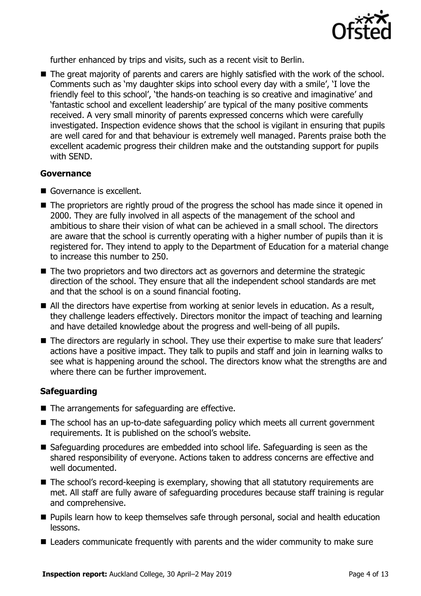

further enhanced by trips and visits, such as a recent visit to Berlin.

■ The great majority of parents and carers are highly satisfied with the work of the school. Comments such as 'my daughter skips into school every day with a smile', 'I love the friendly feel to this school', 'the hands-on teaching is so creative and imaginative' and 'fantastic school and excellent leadership' are typical of the many positive comments received. A very small minority of parents expressed concerns which were carefully investigated. Inspection evidence shows that the school is vigilant in ensuring that pupils are well cared for and that behaviour is extremely well managed. Parents praise both the excellent academic progress their children make and the outstanding support for pupils with SEND.

#### **Governance**

- Governance is excellent.
- The proprietors are rightly proud of the progress the school has made since it opened in 2000. They are fully involved in all aspects of the management of the school and ambitious to share their vision of what can be achieved in a small school. The directors are aware that the school is currently operating with a higher number of pupils than it is registered for. They intend to apply to the Department of Education for a material change to increase this number to 250.
- The two proprietors and two directors act as governors and determine the strategic direction of the school. They ensure that all the independent school standards are met and that the school is on a sound financial footing.
- All the directors have expertise from working at senior levels in education. As a result, they challenge leaders effectively. Directors monitor the impact of teaching and learning and have detailed knowledge about the progress and well-being of all pupils.
- The directors are regularly in school. They use their expertise to make sure that leaders' actions have a positive impact. They talk to pupils and staff and join in learning walks to see what is happening around the school. The directors know what the strengths are and where there can be further improvement.

### **Safeguarding**

- The arrangements for safeguarding are effective.
- The school has an up-to-date safeguarding policy which meets all current government requirements. It is published on the school's website.
- Safeguarding procedures are embedded into school life. Safeguarding is seen as the shared responsibility of everyone. Actions taken to address concerns are effective and well documented.
- The school's record-keeping is exemplary, showing that all statutory requirements are met. All staff are fully aware of safeguarding procedures because staff training is regular and comprehensive.
- **Pupils learn how to keep themselves safe through personal, social and health education** lessons.
- Leaders communicate frequently with parents and the wider community to make sure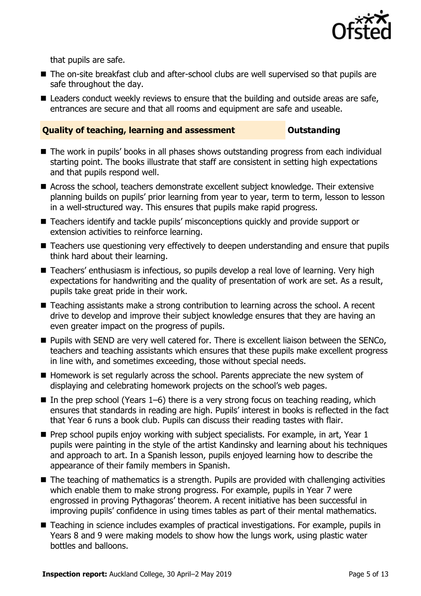

that pupils are safe.

- The on-site breakfast club and after-school clubs are well supervised so that pupils are safe throughout the day.
- Leaders conduct weekly reviews to ensure that the building and outside areas are safe, entrances are secure and that all rooms and equipment are safe and useable.

### **Quality of teaching, learning and assessment <b>COUNG COUNTY CONTROVIDG**

- The work in pupils' books in all phases shows outstanding progress from each individual starting point. The books illustrate that staff are consistent in setting high expectations and that pupils respond well.
- Across the school, teachers demonstrate excellent subject knowledge. Their extensive planning builds on pupils' prior learning from year to year, term to term, lesson to lesson in a well-structured way. This ensures that pupils make rapid progress.
- Teachers identify and tackle pupils' misconceptions quickly and provide support or extension activities to reinforce learning.
- Teachers use questioning very effectively to deepen understanding and ensure that pupils think hard about their learning.
- Teachers' enthusiasm is infectious, so pupils develop a real love of learning. Very high expectations for handwriting and the quality of presentation of work are set. As a result, pupils take great pride in their work.
- Teaching assistants make a strong contribution to learning across the school. A recent drive to develop and improve their subject knowledge ensures that they are having an even greater impact on the progress of pupils.
- **Pupils with SEND are very well catered for. There is excellent liaison between the SENCo,** teachers and teaching assistants which ensures that these pupils make excellent progress in line with, and sometimes exceeding, those without special needs.
- Homework is set regularly across the school. Parents appreciate the new system of displaying and celebrating homework projects on the school's web pages.
- In the prep school (Years  $1-6$ ) there is a very strong focus on teaching reading, which ensures that standards in reading are high. Pupils' interest in books is reflected in the fact that Year 6 runs a book club. Pupils can discuss their reading tastes with flair.
- $\blacksquare$  Prep school pupils enjoy working with subject specialists. For example, in art, Year 1 pupils were painting in the style of the artist Kandinsky and learning about his techniques and approach to art. In a Spanish lesson, pupils enjoyed learning how to describe the appearance of their family members in Spanish.
- The teaching of mathematics is a strength. Pupils are provided with challenging activities which enable them to make strong progress. For example, pupils in Year 7 were engrossed in proving Pythagoras' theorem. A recent initiative has been successful in improving pupils' confidence in using times tables as part of their mental mathematics.
- Teaching in science includes examples of practical investigations. For example, pupils in Years 8 and 9 were making models to show how the lungs work, using plastic water bottles and balloons.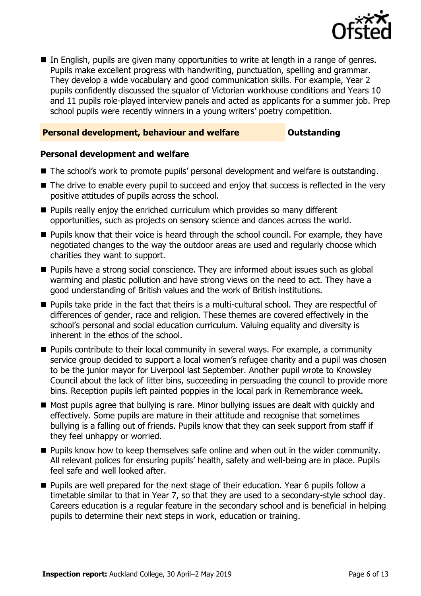

 In English, pupils are given many opportunities to write at length in a range of genres. Pupils make excellent progress with handwriting, punctuation, spelling and grammar. They develop a wide vocabulary and good communication skills. For example, Year 2 pupils confidently discussed the squalor of Victorian workhouse conditions and Years 10 and 11 pupils role-played interview panels and acted as applicants for a summer job. Prep school pupils were recently winners in a young writers' poetry competition.

#### **Personal development, behaviour and welfare <b>COU COULDER** Outstanding

#### **Personal development and welfare**

- The school's work to promote pupils' personal development and welfare is outstanding.
- The drive to enable every pupil to succeed and enjoy that success is reflected in the very positive attitudes of pupils across the school.
- **Pupils really enjoy the enriched curriculum which provides so many different** opportunities, such as projects on sensory science and dances across the world.
- **Pupils know that their voice is heard through the school council. For example, they have** negotiated changes to the way the outdoor areas are used and regularly choose which charities they want to support.
- Pupils have a strong social conscience. They are informed about issues such as global warming and plastic pollution and have strong views on the need to act. They have a good understanding of British values and the work of British institutions.
- **Pupils take pride in the fact that theirs is a multi-cultural school. They are respectful of** differences of gender, race and religion. These themes are covered effectively in the school's personal and social education curriculum. Valuing equality and diversity is inherent in the ethos of the school.
- **Pupils contribute to their local community in several ways. For example, a community** service group decided to support a local women's refugee charity and a pupil was chosen to be the junior mayor for Liverpool last September. Another pupil wrote to Knowsley Council about the lack of litter bins, succeeding in persuading the council to provide more bins. Reception pupils left painted poppies in the local park in Remembrance week.
- Most pupils agree that bullying is rare. Minor bullying issues are dealt with quickly and effectively. Some pupils are mature in their attitude and recognise that sometimes bullying is a falling out of friends. Pupils know that they can seek support from staff if they feel unhappy or worried.
- **Pupils know how to keep themselves safe online and when out in the wider community.** All relevant polices for ensuring pupils' health, safety and well-being are in place. Pupils feel safe and well looked after.
- **Pupils are well prepared for the next stage of their education. Year 6 pupils follow a** timetable similar to that in Year 7, so that they are used to a secondary-style school day. Careers education is a regular feature in the secondary school and is beneficial in helping pupils to determine their next steps in work, education or training.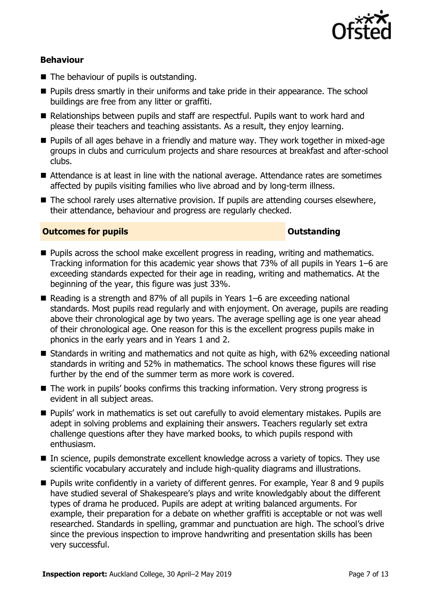

### **Behaviour**

- The behaviour of pupils is outstanding.
- **Pupils dress smartly in their uniforms and take pride in their appearance. The school** buildings are free from any litter or graffiti.
- Relationships between pupils and staff are respectful. Pupils want to work hard and please their teachers and teaching assistants. As a result, they enjoy learning.
- **Pupils of all ages behave in a friendly and mature way. They work together in mixed-age** groups in clubs and curriculum projects and share resources at breakfast and after-school clubs.
- Attendance is at least in line with the national average. Attendance rates are sometimes affected by pupils visiting families who live abroad and by long-term illness.
- The school rarely uses alternative provision. If pupils are attending courses elsewhere, their attendance, behaviour and progress are regularly checked.

#### **Outcomes for pupils Outstanding**

- **Pupils across the school make excellent progress in reading, writing and mathematics.** Tracking information for this academic year shows that 73% of all pupils in Years 1–6 are exceeding standards expected for their age in reading, writing and mathematics. At the beginning of the year, this figure was just 33%.
- Reading is a strength and 87% of all pupils in Years 1–6 are exceeding national standards. Most pupils read regularly and with enjoyment. On average, pupils are reading above their chronological age by two years. The average spelling age is one year ahead of their chronological age. One reason for this is the excellent progress pupils make in phonics in the early years and in Years 1 and 2.
- Standards in writing and mathematics and not quite as high, with 62% exceeding national standards in writing and 52% in mathematics. The school knows these figures will rise further by the end of the summer term as more work is covered.
- The work in pupils' books confirms this tracking information. Very strong progress is evident in all subject areas.
- **Pupils' work in mathematics is set out carefully to avoid elementary mistakes. Pupils are** adept in solving problems and explaining their answers. Teachers regularly set extra challenge questions after they have marked books, to which pupils respond with enthusiasm.
- In science, pupils demonstrate excellent knowledge across a variety of topics. They use scientific vocabulary accurately and include high-quality diagrams and illustrations.
- Pupils write confidently in a variety of different genres. For example, Year 8 and 9 pupils have studied several of Shakespeare's plays and write knowledgably about the different types of drama he produced. Pupils are adept at writing balanced arguments. For example, their preparation for a debate on whether graffiti is acceptable or not was well researched. Standards in spelling, grammar and punctuation are high. The school's drive since the previous inspection to improve handwriting and presentation skills has been very successful.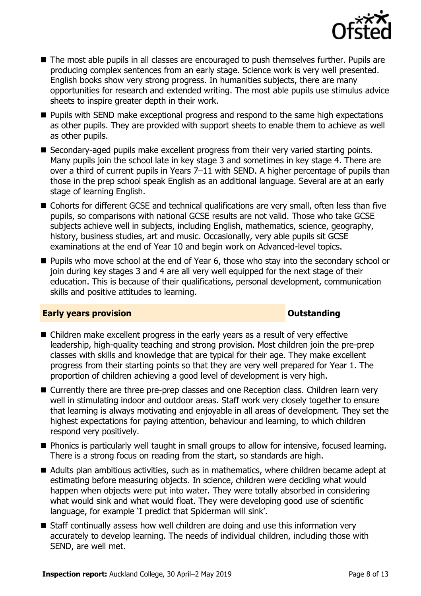

- The most able pupils in all classes are encouraged to push themselves further. Pupils are producing complex sentences from an early stage. Science work is very well presented. English books show very strong progress. In humanities subjects, there are many opportunities for research and extended writing. The most able pupils use stimulus advice sheets to inspire greater depth in their work.
- **Pupils with SEND make exceptional progress and respond to the same high expectations** as other pupils. They are provided with support sheets to enable them to achieve as well as other pupils.
- Secondary-aged pupils make excellent progress from their very varied starting points. Many pupils join the school late in key stage 3 and sometimes in key stage 4. There are over a third of current pupils in Years 7–11 with SEND. A higher percentage of pupils than those in the prep school speak English as an additional language. Several are at an early stage of learning English.
- Cohorts for different GCSE and technical qualifications are very small, often less than five pupils, so comparisons with national GCSE results are not valid. Those who take GCSE subjects achieve well in subjects, including English, mathematics, science, geography, history, business studies, art and music. Occasionally, very able pupils sit GCSE examinations at the end of Year 10 and begin work on Advanced-level topics.
- **Pupils who move school at the end of Year 6, those who stay into the secondary school or** join during key stages 3 and 4 are all very well equipped for the next stage of their education. This is because of their qualifications, personal development, communication skills and positive attitudes to learning.

### **Early years provision CONSERVING SERVING SERVING SERVICES**

- Children make excellent progress in the early years as a result of very effective leadership, high-quality teaching and strong provision. Most children join the pre-prep classes with skills and knowledge that are typical for their age. They make excellent progress from their starting points so that they are very well prepared for Year 1. The proportion of children achieving a good level of development is very high.
- Currently there are three pre-prep classes and one Reception class. Children learn very well in stimulating indoor and outdoor areas. Staff work very closely together to ensure that learning is always motivating and enjoyable in all areas of development. They set the highest expectations for paying attention, behaviour and learning, to which children respond very positively.
- **Phonics is particularly well taught in small groups to allow for intensive, focused learning.** There is a strong focus on reading from the start, so standards are high.
- Adults plan ambitious activities, such as in mathematics, where children became adept at estimating before measuring objects. In science, children were deciding what would happen when objects were put into water. They were totally absorbed in considering what would sink and what would float. They were developing good use of scientific language, for example 'I predict that Spiderman will sink'.
- Staff continually assess how well children are doing and use this information very accurately to develop learning. The needs of individual children, including those with SEND, are well met.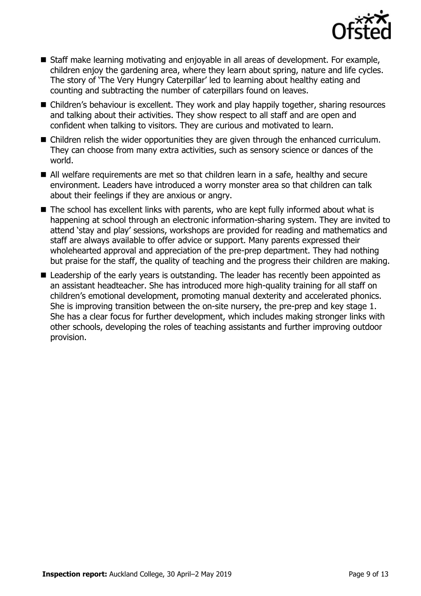

- Staff make learning motivating and enjoyable in all areas of development. For example, children enjoy the gardening area, where they learn about spring, nature and life cycles. The story of 'The Very Hungry Caterpillar' led to learning about healthy eating and counting and subtracting the number of caterpillars found on leaves.
- Children's behaviour is excellent. They work and play happily together, sharing resources and talking about their activities. They show respect to all staff and are open and confident when talking to visitors. They are curious and motivated to learn.
- Children relish the wider opportunities they are given through the enhanced curriculum. They can choose from many extra activities, such as sensory science or dances of the world.
- All welfare requirements are met so that children learn in a safe, healthy and secure environment. Leaders have introduced a worry monster area so that children can talk about their feelings if they are anxious or angry.
- The school has excellent links with parents, who are kept fully informed about what is happening at school through an electronic information-sharing system. They are invited to attend 'stay and play' sessions, workshops are provided for reading and mathematics and staff are always available to offer advice or support. Many parents expressed their wholehearted approval and appreciation of the pre-prep department. They had nothing but praise for the staff, the quality of teaching and the progress their children are making.
- Leadership of the early years is outstanding. The leader has recently been appointed as an assistant headteacher. She has introduced more high-quality training for all staff on children's emotional development, promoting manual dexterity and accelerated phonics. She is improving transition between the on-site nursery, the pre-prep and key stage 1. She has a clear focus for further development, which includes making stronger links with other schools, developing the roles of teaching assistants and further improving outdoor provision.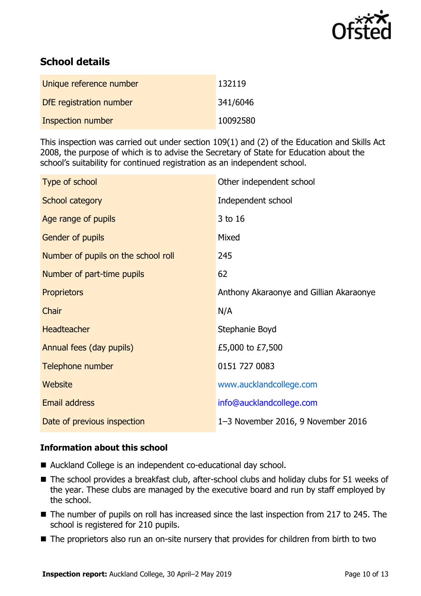

# **School details**

| Unique reference number | 132119   |
|-------------------------|----------|
| DfE registration number | 341/6046 |
| Inspection number       | 10092580 |

This inspection was carried out under section 109(1) and (2) of the Education and Skills Act 2008, the purpose of which is to advise the Secretary of State for Education about the school's suitability for continued registration as an independent school.

| Type of school                      | Other independent school                |
|-------------------------------------|-----------------------------------------|
| School category                     | Independent school                      |
| Age range of pupils                 | 3 to 16                                 |
| Gender of pupils                    | Mixed                                   |
| Number of pupils on the school roll | 245                                     |
| Number of part-time pupils          | 62                                      |
| <b>Proprietors</b>                  | Anthony Akaraonye and Gillian Akaraonye |
| Chair                               | N/A                                     |
| <b>Headteacher</b>                  | Stephanie Boyd                          |
| Annual fees (day pupils)            | £5,000 to £7,500                        |
| Telephone number                    | 0151 727 0083                           |
| Website                             | www.aucklandcollege.com                 |
| Email address                       | info@aucklandcollege.com                |
| Date of previous inspection         | 1-3 November 2016, 9 November 2016      |

### **Information about this school**

- Auckland College is an independent co-educational day school.
- The school provides a breakfast club, after-school clubs and holiday clubs for 51 weeks of the year. These clubs are managed by the executive board and run by staff employed by the school.
- The number of pupils on roll has increased since the last inspection from 217 to 245. The school is registered for 210 pupils.
- The proprietors also run an on-site nursery that provides for children from birth to two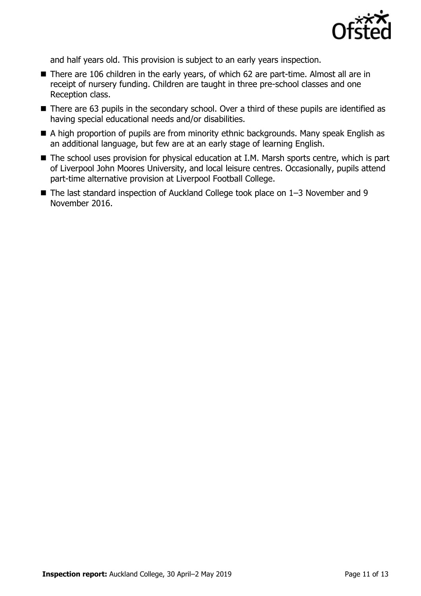

and half years old. This provision is subject to an early years inspection.

- There are 106 children in the early years, of which 62 are part-time. Almost all are in receipt of nursery funding. Children are taught in three pre-school classes and one Reception class.
- There are 63 pupils in the secondary school. Over a third of these pupils are identified as having special educational needs and/or disabilities.
- A high proportion of pupils are from minority ethnic backgrounds. Many speak English as an additional language, but few are at an early stage of learning English.
- The school uses provision for physical education at I.M. Marsh sports centre, which is part of Liverpool John Moores University, and local leisure centres. Occasionally, pupils attend part-time alternative provision at Liverpool Football College.
- The last standard inspection of Auckland College took place on 1–3 November and 9 November 2016.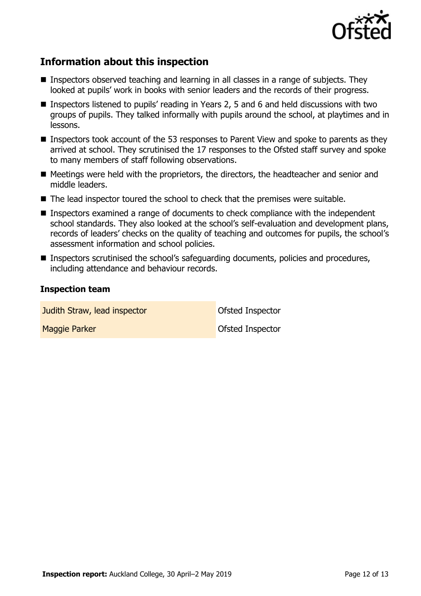

# **Information about this inspection**

- Inspectors observed teaching and learning in all classes in a range of subjects. They looked at pupils' work in books with senior leaders and the records of their progress.
- Inspectors listened to pupils' reading in Years 2, 5 and 6 and held discussions with two groups of pupils. They talked informally with pupils around the school, at playtimes and in lessons.
- Inspectors took account of the 53 responses to Parent View and spoke to parents as they arrived at school. They scrutinised the 17 responses to the Ofsted staff survey and spoke to many members of staff following observations.
- Meetings were held with the proprietors, the directors, the headteacher and senior and middle leaders.
- The lead inspector toured the school to check that the premises were suitable.
- Inspectors examined a range of documents to check compliance with the independent school standards. They also looked at the school's self-evaluation and development plans, records of leaders' checks on the quality of teaching and outcomes for pupils, the school's assessment information and school policies.
- Inspectors scrutinised the school's safeguarding documents, policies and procedures, including attendance and behaviour records.

#### **Inspection team**

**Judith Straw, lead inspector Construction** Ofsted Inspector

**Maggie Parker Community Community** Construction Construction Construction Construction Construction Construction Construction Construction Construction Construction Construction Construction Construction Construction Cons